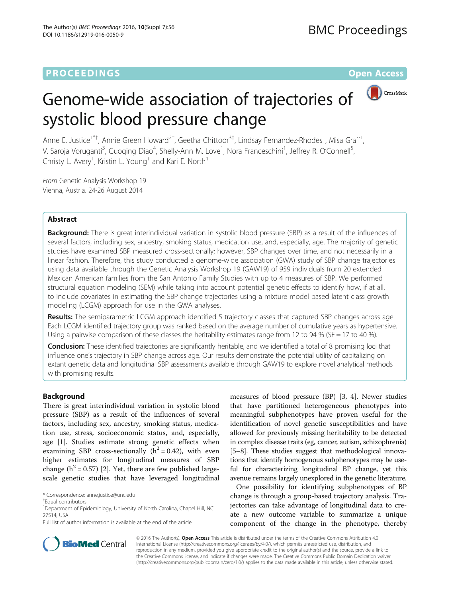# **PROCEEDINGS CONSUMING S** Open Access **CONSUMING S**



# Genome-wide association of trajectories of systolic blood pressure change

Anne E. Justice<sup>1\*†</sup>, Annie Green Howard<sup>2†</sup>, Geetha Chittoor<sup>3†</sup>, Lindsay Fernandez-Rhodes<sup>1</sup>, Misa Graff<sup>1</sup> , V. Saroja Voruganti<sup>3</sup>, Guoqing Diao<sup>4</sup>, Shelly-Ann M. Love<sup>1</sup>, Nora Franceschini<sup>1</sup>, Jeffrey R. O'Connell<sup>5</sup> , Christy L. Avery<sup>1</sup>, Kristin L. Young<sup>1</sup> and Kari E. North<sup>1</sup>

From Genetic Analysis Workshop 19 Vienna, Austria. 24-26 August 2014

# Abstract

Background: There is great interindividual variation in systolic blood pressure (SBP) as a result of the influences of several factors, including sex, ancestry, smoking status, medication use, and, especially, age. The majority of genetic studies have examined SBP measured cross-sectionally; however, SBP changes over time, and not necessarily in a linear fashion. Therefore, this study conducted a genome-wide association (GWA) study of SBP change trajectories using data available through the Genetic Analysis Workshop 19 (GAW19) of 959 individuals from 20 extended Mexican American families from the San Antonio Family Studies with up to 4 measures of SBP. We performed structural equation modeling (SEM) while taking into account potential genetic effects to identify how, if at all, to include covariates in estimating the SBP change trajectories using a mixture model based latent class growth modeling (LCGM) approach for use in the GWA analyses.

Results: The semiparametric LCGM approach identified 5 trajectory classes that captured SBP changes across age. Each LCGM identified trajectory group was ranked based on the average number of cumulative years as hypertensive. Using a pairwise comparison of these classes the heritability estimates range from 12 to 94 % (SE = 17 to 40 %).

Conclusion: These identified trajectories are significantly heritable, and we identified a total of 8 promising loci that influence one's trajectory in SBP change across age. Our results demonstrate the potential utility of capitalizing on extant genetic data and longitudinal SBP assessments available through GAW19 to explore novel analytical methods with promising results.

# Background

There is great interindividual variation in systolic blood pressure (SBP) as a result of the influences of several factors, including sex, ancestry, smoking status, medication use, stress, socioeconomic status, and, especially, age [\[1](#page-5-0)]. Studies estimate strong genetic effects when examining SBP cross-sectionally  $(h^2 = 0.42)$ , with even higher estimates for longitudinal measures of SBP change ( $h^2$  = 0.57) [\[2](#page-5-0)]. Yet, there are few published largescale genetic studies that have leveraged longitudinal

\* Correspondence: [anne.justice@unc.edu](mailto:anne.justice@unc.edu) †

measures of blood pressure (BP) [\[3](#page-5-0), [4\]](#page-5-0). Newer studies that have partitioned heterogeneous phenotypes into meaningful subphenotypes have proven useful for the identification of novel genetic susceptibilities and have allowed for previously missing heritability to be detected in complex disease traits (eg, cancer, autism, schizophrenia) [[5](#page-5-0)–[8](#page-6-0)]. These studies suggest that methodological innovations that identify homogenous subphenotypes may be useful for characterizing longitudinal BP change, yet this avenue remains largely unexplored in the genetic literature.

One possibility for identifying subphenotypes of BP change is through a group-based trajectory analysis. Trajectories can take advantage of longitudinal data to create a new outcome variable to summarize a unique component of the change in the phenotype, thereby



© 2016 The Author(s). Open Access This article is distributed under the terms of the Creative Commons Attribution 4.0 International License [\(http://creativecommons.org/licenses/by/4.0/](http://creativecommons.org/licenses/by/4.0/)), which permits unrestricted use, distribution, and reproduction in any medium, provided you give appropriate credit to the original author(s) and the source, provide a link to the Creative Commons license, and indicate if changes were made. The Creative Commons Public Domain Dedication waiver [\(http://creativecommons.org/publicdomain/zero/1.0/](http://creativecommons.org/publicdomain/zero/1.0/)) applies to the data made available in this article, unless otherwise stated.

<sup>&</sup>lt;sup>†</sup>Faual contributors

<sup>&</sup>lt;sup>1</sup>Department of Epidemiology, University of North Carolina, Chapel Hill, NC 27514, USA

Full list of author information is available at the end of the article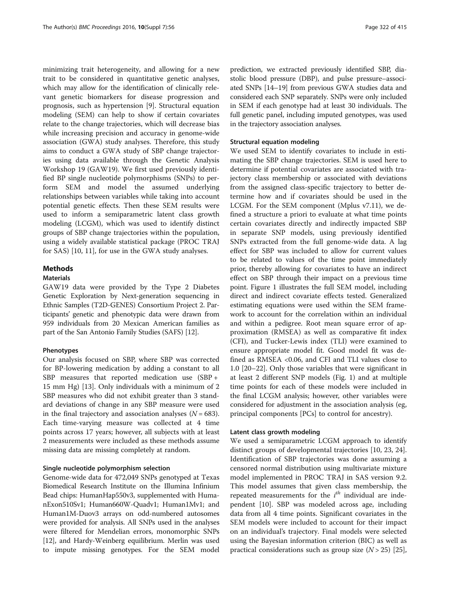minimizing trait heterogeneity, and allowing for a new trait to be considered in quantitative genetic analyses, which may allow for the identification of clinically relevant genetic biomarkers for disease progression and prognosis, such as hypertension [[9](#page-6-0)]. Structural equation modeling (SEM) can help to show if certain covariates relate to the change trajectories, which will decrease bias while increasing precision and accuracy in genome-wide association (GWA) study analyses. Therefore, this study aims to conduct a GWA study of SBP change trajectories using data available through the Genetic Analysis Workshop 19 (GAW19). We first used previously identified BP single nucleotide polymorphisms (SNPs) to perform SEM and model the assumed underlying relationships between variables while taking into account potential genetic effects. Then these SEM results were used to inform a semiparametric latent class growth modeling (LCGM), which was used to identify distinct groups of SBP change trajectories within the population, using a widely available statistical package (PROC TRAJ for SAS) [[10](#page-6-0), [11](#page-6-0)], for use in the GWA study analyses.

# Methods

#### Materials

GAW19 data were provided by the Type 2 Diabetes Genetic Exploration by Next-generation sequencing in Ethnic Samples (T2D-GENES) Consortium Project 2. Participants' genetic and phenotypic data were drawn from 959 individuals from 20 Mexican American families as part of the San Antonio Family Studies (SAFS) [\[12\]](#page-6-0).

# Phenotypes

Our analysis focused on SBP, where SBP was corrected for BP-lowering medication by adding a constant to all SBP measures that reported medication use (SBP + 15 mm Hg) [[13\]](#page-6-0). Only individuals with a minimum of 2 SBP measures who did not exhibit greater than 3 standard deviations of change in any SBP measure were used in the final trajectory and association analyses  $(N = 683)$ . Each time-varying measure was collected at 4 time points across 17 years; however, all subjects with at least 2 measurements were included as these methods assume missing data are missing completely at random.

# Single nucleotide polymorphism selection

Genome-wide data for 472,049 SNPs genotyped at Texas Biomedical Research Institute on the Illumina Infinium Bead chips: HumanHap550v3, supplemented with HumanExon510Sv1; Human660W-Quadv1; Human1Mv1; and Human1M-Duov3 arrays on odd-numbered autosomes were provided for analysis. All SNPs used in the analyses were filtered for Mendelian errors, monomorphic SNPs [[12](#page-6-0)], and Hardy-Weinberg equilibrium. Merlin was used to impute missing genotypes. For the SEM model prediction, we extracted previously identified SBP, diastolic blood pressure (DBP), and pulse pressure–associated SNPs [[14](#page-6-0)–[19](#page-6-0)] from previous GWA studies data and considered each SNP separately. SNPs were only included in SEM if each genotype had at least 30 individuals. The full genetic panel, including imputed genotypes, was used in the trajectory association analyses.

#### Structural equation modeling

We used SEM to identify covariates to include in estimating the SBP change trajectories. SEM is used here to determine if potential covariates are associated with trajectory class membership or associated with deviations from the assigned class-specific trajectory to better determine how and if covariates should be used in the LCGM. For the SEM component (Mplus v7.11), we defined a structure a priori to evaluate at what time points certain covariates directly and indirectly impacted SBP in separate SNP models, using previously identified SNPs extracted from the full genome-wide data. A lag effect for SBP was included to allow for current values to be related to values of the time point immediately prior, thereby allowing for covariates to have an indirect effect on SBP through their impact on a previous time point. Figure [1](#page-2-0) illustrates the full SEM model, including direct and indirect covariate effects tested. Generalized estimating equations were used within the SEM framework to account for the correlation within an individual and within a pedigree. Root mean square error of approximation (RMSEA) as well as comparative fit index (CFI), and Tucker-Lewis index (TLI) were examined to ensure appropriate model fit. Good model fit was defined as RMSEA <0.06, and CFI and TLI values close to 1.0 [\[20](#page-6-0)–[22\]](#page-6-0). Only those variables that were significant in at least 2 different SNP models (Fig. [1](#page-2-0)) and at multiple time points for each of these models were included in the final LCGM analysis; however, other variables were considered for adjustment in the association analysis (eg, principal components [PCs] to control for ancestry).

# Latent class growth modeling

We used a semiparametric LCGM approach to identify distinct groups of developmental trajectories [[10](#page-6-0), [23](#page-6-0), [24](#page-6-0)]. Identification of SBP trajectories was done assuming a censored normal distribution using multivariate mixture model implemented in PROC TRAJ in SAS version 9.2. This model assumes that given class membership, the repeated measurements for the  $i<sup>th</sup>$  individual are independent [\[10](#page-6-0)]. SBP was modeled across age, including data from all 4 time points. Significant covariates in the SEM models were included to account for their impact on an individual's trajectory. Final models were selected using the Bayesian information criterion (BIC) as well as practical considerations such as group size  $(N > 25)$  [\[25](#page-6-0)],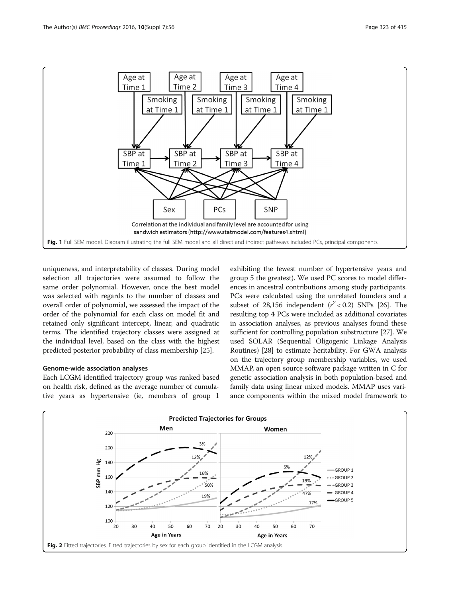<span id="page-2-0"></span>

uniqueness, and interpretability of classes. During model selection all trajectories were assumed to follow the same order polynomial. However, once the best model was selected with regards to the number of classes and overall order of polynomial, we assessed the impact of the order of the polynomial for each class on model fit and retained only significant intercept, linear, and quadratic terms. The identified trajectory classes were assigned at the individual level, based on the class with the highest predicted posterior probability of class membership [\[25\]](#page-6-0).

# Genome-wide association analyses

Each LCGM identified trajectory group was ranked based on health risk, defined as the average number of cumulative years as hypertensive (ie, members of group 1

exhibiting the fewest number of hypertensive years and group 5 the greatest). We used PC scores to model differences in ancestral contributions among study participants. PCs were calculated using the unrelated founders and a subset of 28,156 independent  $(r^2 < 0.2)$  SNPs [[26](#page-6-0)]. The resulting top 4 PCs were included as additional covariates in association analyses, as previous analyses found these sufficient for controlling population substructure [[27](#page-6-0)]. We used SOLAR (Sequential Oligogenic Linkage Analysis Routines) [[28](#page-6-0)] to estimate heritability. For GWA analysis on the trajectory group membership variables, we used MMAP, an open source software package written in C for genetic association analysis in both population-based and family data using linear mixed models. MMAP uses variance components within the mixed model framework to

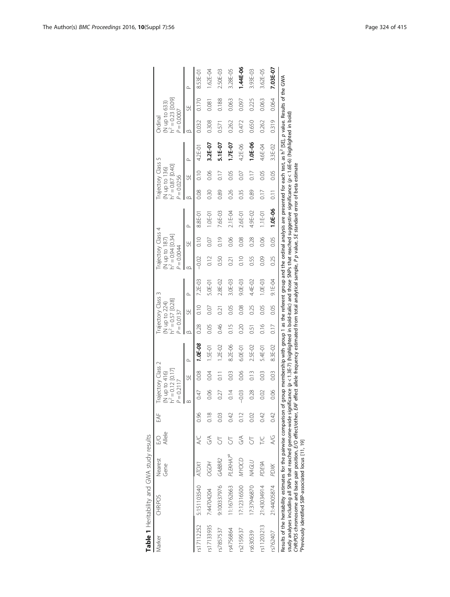<span id="page-3-0"></span>

| Marker     | <b>CHRPOS</b>                                                                                                                                                                                                                                                                                                                                                                                               | Nearest<br>Gene | Allele<br><b>S</b> | EAF  | Trajectory Class 2<br>$\dot{h}^2 = 0.12$ [0.17]<br>(N up to 416)<br>$P = 0.2117$ |                           |             | $P = 0.0137$ | Trajectory Class 3<br>(N up to 224)<br>$h^2 = 0.57$ [0.28] |                                                                                                                                                                                                                                                                                | $P = 0.0044$ | Trajectory Class 4<br>(N up to 187)<br>h <sup>2</sup> = 0.94 [0.34] |           | $P = 0.0256$      | Trajectory Class<br>(N up to 136)<br>$h^2 = 0.87$ [0.40] | 5        | $P = 0.0007$<br>Ordinal | (N up to 633)<br>$h^2 = 0.23$ [0.09] |          |
|------------|-------------------------------------------------------------------------------------------------------------------------------------------------------------------------------------------------------------------------------------------------------------------------------------------------------------------------------------------------------------------------------------------------------------|-----------------|--------------------|------|----------------------------------------------------------------------------------|---------------------------|-------------|--------------|------------------------------------------------------------|--------------------------------------------------------------------------------------------------------------------------------------------------------------------------------------------------------------------------------------------------------------------------------|--------------|---------------------------------------------------------------------|-----------|-------------------|----------------------------------------------------------|----------|-------------------------|--------------------------------------|----------|
|            |                                                                                                                                                                                                                                                                                                                                                                                                             |                 |                    |      | $\infty$                                                                         | 5Ë                        | Δ           | $\circ$      | 55                                                         | ൧                                                                                                                                                                                                                                                                              | $\infty$     | ₩,                                                                  | $\alpha$  | $\circ$           | 55                                                       | $\Omega$ | $\circ$                 | 버                                    | $\Omega$ |
| rs17112252 | 5:151103540                                                                                                                                                                                                                                                                                                                                                                                                 | ATOXI           |                    | 0.96 | 0.47                                                                             | 0.08                      | $1.0E - 08$ | 0.28         | 0.10                                                       | 7.2E-03                                                                                                                                                                                                                                                                        | $-0.02$      | $rac{1}{2}$                                                         | 8.8E-01   | 0.08              | 0.10                                                     | 4.2E-01  | 0.032                   | 0.170                                | 8.53E-01 |
|            | rs17133935 7:44704204                                                                                                                                                                                                                                                                                                                                                                                       | <b>CODH</b>     | SS                 | 0.18 | 80.0                                                                             | 0.04                      | 1.5E-01     | 0.05         | 0.07                                                       | 5.0E-01                                                                                                                                                                                                                                                                        | 0.12         | 0.07                                                                | 1.0E-01   | 0.30              | 0.06                                                     | 3.2E-07  | 0.308                   | 0.081                                | 1.62E-04 |
| rs7857537  | 9:100337976                                                                                                                                                                                                                                                                                                                                                                                                 | GABBR2          | 5                  | 0.03 | 0.27                                                                             | $\overline{\overline{C}}$ | $1.2E - 02$ | 0.46         | $\overline{0.21}$                                          | 2.8E-02                                                                                                                                                                                                                                                                        | 0.50         | 0.19                                                                | 7.6E-03   | 0.89              | $\frac{17}{2}$                                           | 5.1E-07  | 0.571                   | 0.188                                | 2.50E-03 |
| rs4756864  | 11:16762663                                                                                                                                                                                                                                                                                                                                                                                                 | PLEKHA P        |                    | 042  | 0.14                                                                             | 0.03                      | 8.2E-06     | 0.15         | 0.05                                                       | 3.0E-03                                                                                                                                                                                                                                                                        | 0.21         | 0.06                                                                | $2.1E-04$ | 0.26              | 0.05                                                     | 1.7E-07  | 0.262                   | 0.063                                | 3.28E-05 |
| rs2159537  | 17:12316500                                                                                                                                                                                                                                                                                                                                                                                                 | VANOCD          | SS                 | 0.12 | $-0.03$                                                                          | 0.06                      | 6.0E-01     | 0.20         | 0.08                                                       | 9.0E-03                                                                                                                                                                                                                                                                        | 0.10         | 0.08                                                                | 2.6E-01   | 0.35              | 0.07                                                     | 4.2E-06  | 0.472                   | 0.097                                | 1.44E-06 |
| rs630539   | 17:37946870                                                                                                                                                                                                                                                                                                                                                                                                 | <b>MAGLU</b>    | 5                  | 0.02 | 0.28                                                                             | $\frac{3}{2}$             | 2.5E-02     | 0.51         | 0.25                                                       | 4.4E-02                                                                                                                                                                                                                                                                        | 0.55         | 0.28                                                                | 4.9E-02   | 0.89              | 0.17                                                     | 1.0E-06  | 0.650                   | 0.225                                | 3.93E-03 |
| rs11203213 | 21:43034914                                                                                                                                                                                                                                                                                                                                                                                                 | PDE9A           | ž                  | 042  | 0.02                                                                             | 0.03                      | 5.4E-01     | 0.16         | 0.05                                                       | 1.0E-03                                                                                                                                                                                                                                                                        | 0.09         | 0.06                                                                | 1.1 E-01  | 0.17              | 0.05                                                     | 4.6E-04  | 0.262                   | 0.063                                | 3.62E-05 |
| rs762407   | 21:44005874 PDXK                                                                                                                                                                                                                                                                                                                                                                                            |                 | <b>AG</b>          | 0.42 | 0.06                                                                             | 0.03                      | 8.3E-02     | 0.17         | 0.05                                                       | $9.1E-04$                                                                                                                                                                                                                                                                      | 0.25         | 0.05                                                                | 1.0E-06   | $\overline{0.11}$ | 0.05                                                     | 3.3E-02  | 0.319                   | 0.064                                | 7.03E-07 |
|            | study analyses including all SNPs that reached genome-wide significance (p < 1.3E-7) (highlighted in bold-italic) and those SNPs that reached suggestive significance (p < 1.6E-6) (highlighted in bold)<br>CHR:POS chromosome and base pair position, E/O effect/other, EAF<br>Results of the heritability estimates for the pairwise comparison of<br>Previously identified SBP-associated locus [11, 19] |                 |                    |      |                                                                                  |                           |             |              |                                                            | group membership with group 1 as the referent group and the ordinal analysis are presented for each test, as h <sup>2</sup> [SE], p value. Results of the GWA<br>effect allele frequency estimated from total analytical sample, P p value, SE standard error of beta estimate |              |                                                                     |           |                   |                                                          |          |                         |                                      |          |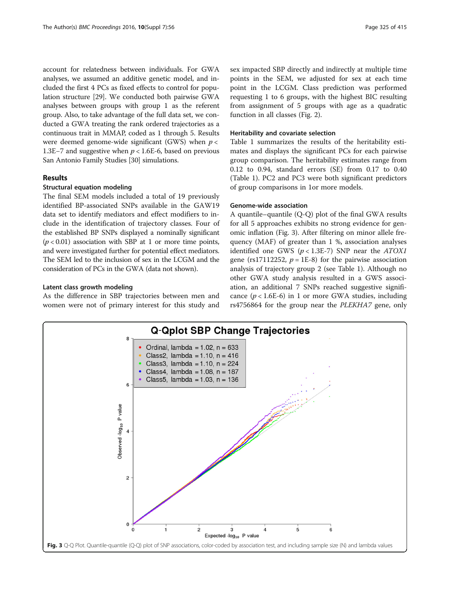account for relatedness between individuals. For GWA analyses, we assumed an additive genetic model, and included the first 4 PCs as fixed effects to control for population structure [\[29\]](#page-6-0). We conducted both pairwise GWA analyses between groups with group 1 as the referent group. Also, to take advantage of the full data set, we conducted a GWA treating the rank ordered trajectories as a continuous trait in MMAP, coded as 1 through 5. Results were deemed genome-wide significant (GWS) when  $p <$ 1.3E−7 and suggestive when p < 1.6E-6, based on previous San Antonio Family Studies [\[30\]](#page-6-0) simulations.

# Results

# Structural equation modeling

The final SEM models included a total of 19 previously identified BP-associated SNPs available in the GAW19 data set to identify mediators and effect modifiers to include in the identification of trajectory classes. Four of the established BP SNPs displayed a nominally significant  $(p < 0.01)$  association with SBP at 1 or more time points, and were investigated further for potential effect mediators. The SEM led to the inclusion of sex in the LCGM and the consideration of PCs in the GWA (data not shown).

#### Latent class growth modeling

As the difference in SBP trajectories between men and women were not of primary interest for this study and sex impacted SBP directly and indirectly at multiple time points in the SEM, we adjusted for sex at each time point in the LCGM. Class prediction was performed requesting 1 to 6 groups, with the highest BIC resulting from assignment of 5 groups with age as a quadratic function in all classes (Fig. [2\)](#page-2-0).

#### Heritability and covariate selection

Table [1](#page-3-0) summarizes the results of the heritability estimates and displays the significant PCs for each pairwise group comparison. The heritability estimates range from 0.12 to 0.94, standard errors (SE) from 0.17 to 0.40 (Table [1](#page-3-0)). PC2 and PC3 were both significant predictors of group comparisons in 1or more models.

### Genome-wide association

A quantile–quantile (Q-Q) plot of the final GWA results for all 5 approaches exhibits no strong evidence for genomic inflation (Fig. 3). After filtering on minor allele frequency (MAF) of greater than 1 %, association analyses identified one GWS  $(p < 1.3E-7)$  SNP near the ATOX1 gene (rs17112252,  $p = 1E-8$ ) for the pairwise association analysis of trajectory group 2 (see Table [1\)](#page-3-0). Although no other GWA study analysis resulted in a GWS association, an additional 7 SNPs reached suggestive significance  $(p < 1.6E-6)$  in 1 or more GWA studies, including rs4756864 for the group near the PLEKHA7 gene, only

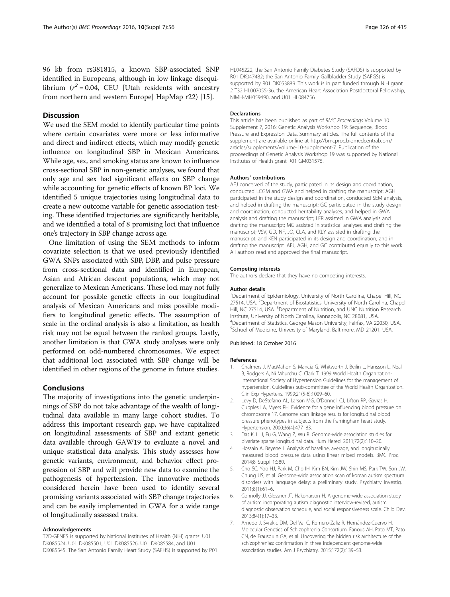# <span id="page-5-0"></span>**Discussion**

We used the SEM model to identify particular time points where certain covariates were more or less informative and direct and indirect effects, which may modify genetic influence on longitudinal SBP in Mexican Americans. While age, sex, and smoking status are known to influence cross-sectional SBP in non-genetic analyses, we found that only age and sex had significant effects on SBP change while accounting for genetic effects of known BP loci. We identified 5 unique trajectories using longitudinal data to create a new outcome variable for genetic association testing. These identified trajectories are significantly heritable, and we identified a total of 8 promising loci that influence one's trajectory in SBP change across age.

One limitation of using the SEM methods to inform covariate selection is that we used previously identified GWA SNPs associated with SBP, DBP, and pulse pressure from cross-sectional data and identified in European, Asian and African descent populations, which may not generalize to Mexican Americans. These loci may not fully account for possible genetic effects in our longitudinal analysis of Mexican Americans and miss possible modifiers to longitudinal genetic effects. The assumption of scale in the ordinal analysis is also a limitation, as health risk may not be equal between the ranked groups. Lastly, another limitation is that GWA study analyses were only performed on odd-numbered chromosomes. We expect that additional loci associated with SBP change will be identified in other regions of the genome in future studies.

# Conclusions

The majority of investigations into the genetic underpinnings of SBP do not take advantage of the wealth of longitudinal data available in many large cohort studies. To address this important research gap, we have capitalized on longitudinal assessments of SBP and extant genetic data available through GAW19 to evaluate a novel and unique statistical data analysis. This study assesses how genetic variants, environment, and behavior effect progression of SBP and will provide new data to examine the pathogenesis of hypertension. The innovative methods considered herein have been used to identify several promising variants associated with SBP change trajectories and can be easily implemented in GWA for a wide range of longitudinally assessed traits.

#### Acknowledgements

T2D-GENES is supported by National Institutes of Health (NIH) grants: U01 DK085524, U01 DK085501, U01 DK085526, U01 DK085584, and U01 DK085545. The San Antonio Family Heart Study (SAFHS) is supported by P01 HL045222; the San Antonio Family Diabetes Study (SAFDS) is supported by R01 DK047482; the San Antonio Family Gallbladder Study (SAFGS) is supported by R01 DK053889. This work is in part funded through NIH grant 2 T32 HL007055-36, the American Heart Association Postdoctoral Fellowship, NIMH-MH059490, and U01 HL084756.

#### **Declarations**

This article has been published as part of BMC Proceedings Volume 10 Supplement 7, 2016: Genetic Analysis Workshop 19: Sequence, Blood Pressure and Expression Data. Summary articles. The full contents of the supplement are available online at [http://bmcproc.biomedcentral.com/](http://bmcproc.biomedcentral.com/articles/supplements/volume-10-supplement-7) [articles/supplements/volume-10-supplement-7.](http://bmcproc.biomedcentral.com/articles/supplements/volume-10-supplement-7) Publication of the proceedings of Genetic Analysis Workshop 19 was supported by National Institutes of Health grant R01 GM031575.

#### Authors' contributions

AEJ conceived of the study, participated in its design and coordination, conducted LCGM and GWA and helped in drafting the manuscript; AGH participated in the study design and coordination, conducted SEM analysis, and helped in drafting the manuscript; GC participated in the study design and coordination, conducted heritability analyses, and helped in GWA analysis and drafting the manuscript; LFR assisted in GWA analysis and drafting the manuscript; MG assisted in statistical analyses and drafting the manuscript; VSV, GD, NF, JO, CLA, and KLY assisted in drafting the manuscript; and KEN participated in its design and coordination, and in drafting the manuscript. AEJ, AGH, and GC contributed equally to this work. All authors read and approved the final manuscript.

#### Competing interests

The authors declare that they have no competing interests.

#### Author details

<sup>1</sup>Department of Epidemiology, University of North Carolina, Chapel Hill, NC 27514, USA. <sup>2</sup>Department of Biostatistics, University of North Carolina, Chapel Hill, NC 27514, USA. <sup>3</sup>Department of Nutrition, and UNC Nutrition Research Institute, University of North Carolina, Kannapolis, NC 28081, USA. 4 Department of Statistics, George Mason University, Fairfax, VA 22030, USA. 5 School of Medicine, University of Maryland, Baltimore, MD 21201, USA.

#### Published: 18 October 2016

#### References

- 1. Chalmers J, MacMahon S, Mancia G, Whitworth J, Beilin L, Hansson L, Neal B, Rodgers A, Ni Mhurchu C, Clark T. 1999 World Health Organization-International Society of Hypertension Guidelines for the management of hypertension. Guidelines sub-committee of the World Health Organization. Clin Exp Hypertens. 1999;21(5-6):1009–60.
- 2. Levy D, DeStefano AL, Larson MG, O'Donnell CJ, Lifton RP, Gavras H, Cupples LA, Myers RH. Evidence for a gene influencing blood pressure on chromosome 17. Genome scan linkage results for longitudinal blood pressure phenotypes in subjects from the framingham heart study. Hypertension. 2000;36(4):477–83.
- 3. Das K, Li J, Fu G, Wang Z, Wu R. Genome-wide association studies for bivariate sparse longitudinal data. Hum Hered. 2011;72(2):110–20.
- 4. Hossain A, Beyene J. Analysis of baseline, average, and longitudinally measured blood pressure data using linear mixed models. BMC Proc. 2014;8 Suppl 1:S80.
- 5. Cho SC, Yoo HJ, Park M, Cho IH, Kim BN, Kim JW, Shin MS, Park TW, Son JW, Chung US, et al. Genome-wide association scan of korean autism spectrum disorders with language delay: a preliminary study. Psychiatry Investig. 2011;8(1):61–6.
- 6. Connolly JJ, Glessner JT, Hakonarson H. A genome-wide association study of autism incorporating autism diagnostic interview-revised, autism diagnostic observation schedule, and social responsiveness scale. Child Dev. 2013;84(1):17–33.
- 7. Arnedo J, Svrakic DM, Del Val C, Romero-Zaliz R, Hernández-Cuervo H, Molecular Genetics of Schizophrenia Consortium, Fanous AH, Pato MT, Pato CN, de Erausquin GA, et al. Uncovering the hidden risk architecture of the schizophrenias: confirmation in three independent genome-wide association studies. Am J Psychiatry. 2015;172(2):139–53.